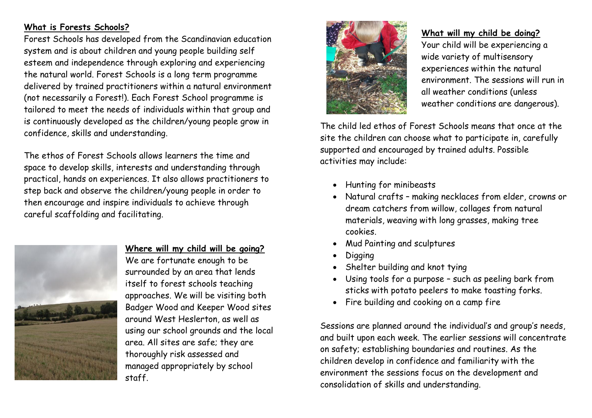# **What is Forests Schools?**

Forest Schools has developed from the Scandinavian education system and is about children and young people building self esteem and independence through exploring and experiencing the natural world. Forest Schools is a long term programme delivered by trained practitioners within a natural environment (not necessarily a Forest!). Each Forest School programme is tailored to meet the needs of individuals within that group and is continuously developed as the children/young people grow in confidence, skills and understanding.

The ethos of Forest Schools allows learners the time and space to develop skills, interests and understanding through practical, hands on experiences. It also allows practitioners to step back and observe the children/young people in order to then encourage and inspire individuals to achieve through careful scaffolding and facilitating.



### **Where will my child will be going?**

We are fortunate enough to be surrounded by an area that lends itself to forest schools teaching approaches. We will be visiting both Badger Wood and Keeper Wood sites around West Heslerton, as well as using our school grounds and the local area. All sites are safe; they are thoroughly risk assessed and managed appropriately by school staff.



### **What will my child be doing?**

Your child will be experiencing a wide variety of multisensory experiences within the natural environment. The sessions will run in all weather conditions (unless weather conditions are dangerous).

The child led ethos of Forest Schools means that once at the site the children can choose what to participate in, carefully supported and encouraged by trained adults. Possible activities may include:

- Hunting for minibeasts
- Natural crafts making necklaces from elder, crowns or dream catchers from willow, collages from natural materials, weaving with long grasses, making tree cookies.
- Mud Painting and sculptures
- Digging
- Shelter building and knot tying
- Using tools for a purpose such as peeling bark from sticks with potato peelers to make toasting forks.
- Fire building and cooking on a camp fire

Sessions are planned around the individual's and group's needs, and built upon each week. The earlier sessions will concentrate on safety; establishing boundaries and routines. As the children develop in confidence and familiarity with the environment the sessions focus on the development and consolidation of skills and understanding.